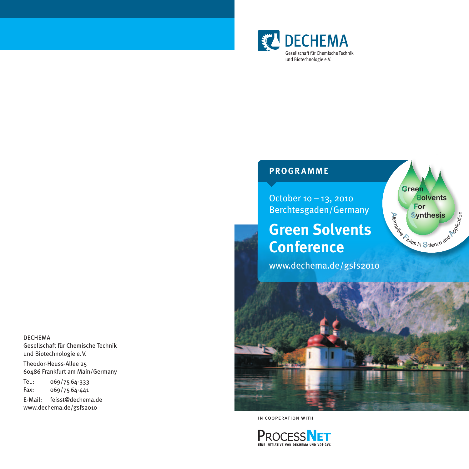

## **PROGRAMME**

October 10 – 13, 2010 Berchtesgaden/Germany

# **Green Solvents Conference**

www.dechema.de/gsfs2010



**Green** 

 **For** 

 **Solvents** 

**Synthesis** Entryching

in cooperation with



DECHEMA Gesellschaft für Chemische Technik und Biotechnologie e.V.

Theodor-Heuss-Allee 25 60486 Frankfurt am Main/Germany

Tel.: 069/7564-333 Fax: 069/7564-441

E-Mail: feisst@dechema.de www.dechema.de/gsfs2010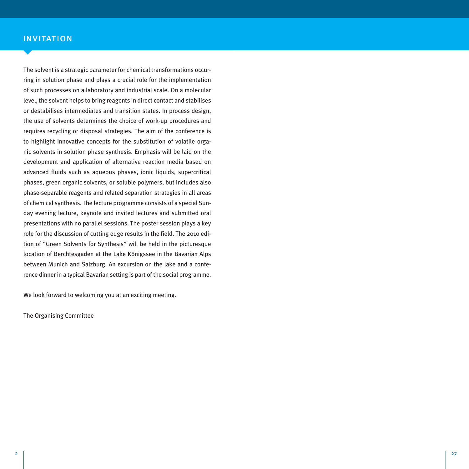## invitation and the company of the company of the company of the company of the company of the company of the c

The solvent is a strategic parameter for chemical transformations occurring in solution phase and plays a crucial role for the implementation of such processes on a laboratory and industrial scale. On a molecular level, the solvent helps to bring reagents in direct contact and stabilises or destabilises intermediates and transition states. In process design, the use of solvents determines the choice of work-up procedures and requires recycling or disposal strategies. The aim of the conference is to highlight innovative concepts for the substitution of volatile organic solvents in solution phase synthesis. Emphasis will be laid on the development and application of alternative reaction media based on advanced fluids such as aqueous phases, ionic liquids, supercritical phases, green organic solvents, or soluble polymers, but includes also phase-separable reagents and related separation strategies in all areas of chemical synthesis. The lecture programme consists of a special Sunday evening lecture, keynote and invited lectures and submitted oral presentations with no parallel sessions. The poster session plays a key role for the discussion of cutting edge results in the field. The 2010 edition of "Green Solvents for Synthesis" will be held in the picturesque location of Berchtesgaden at the Lake Königssee in the Bavarian Alps between Munich and Salzburg. An excursion on the lake and a conference dinner in a typical Bavarian setting is part of the social programme.

We look forward to welcoming you at an exciting meeting.

The Organising Committee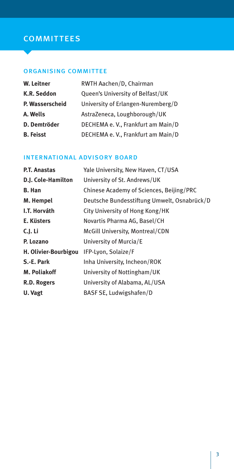## **COMMITTEES**

### organising committee

| W. Leitner       | RWTH Aachen/D, Chairman            |
|------------------|------------------------------------|
| K.R. Seddon      | Queen's University of Belfast/UK   |
| P. Wasserscheid  | University of Erlangen-Nuremberg/D |
| A. Wells         | AstraZeneca, Loughborough/UK       |
| D. Demtröder     | DECHEMA e. V., Frankfurt am Main/D |
| <b>B.</b> Feisst | DECHEMA e. V., Frankfurt am Main/D |

### international advisory board

| P.T. Anastas         | Yale University, New Haven, CT/USA          |
|----------------------|---------------------------------------------|
| D.J. Cole-Hamilton   | University of St. Andrews/UK                |
| <b>B.</b> Han        | Chinese Academy of Sciences, Beijing/PRC    |
| M. Hempel            | Deutsche Bundesstiftung Umwelt, Osnabrück/D |
| I.T. Horváth         | City University of Hong Kong/HK             |
| E. Küsters           | Novartis Pharma AG, Basel/CH                |
| C.J. Li              | McGill University, Montreal/CDN             |
| P. Lozano            | University of Murcia/E                      |
| H. Olivier-Bourbigou | IFP-Lyon, Solaize/F                         |
| S.-E. Park           | Inha University, Incheon/ROK                |
| M. Poliakoff         | University of Nottingham/UK                 |
| R.D. Rogers          | University of Alabama, AL/USA               |
| U. Vagt              | BASF SE, Ludwigshafen/D                     |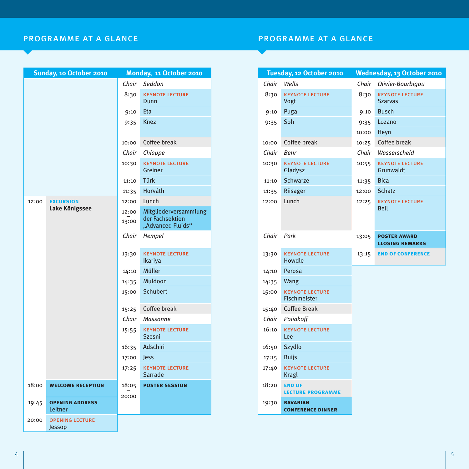## programme at a glance programme at a glance

|       | Sunday, 10 October 2010           |                | Monday, 11 October 2010                  |            | Tuesday, 12 October 2010                      |       | Wednesday, 13 October 2010                    |
|-------|-----------------------------------|----------------|------------------------------------------|------------|-----------------------------------------------|-------|-----------------------------------------------|
|       |                                   |                | Chair Seddon                             | Chair      | Wells                                         |       | Chair Olivier-Bourbigou                       |
|       |                                   | 8:30           | <b>KEYNOTE LECTURE</b><br>Dunn           | 8:30       | <b>KEYNOTE LECTURE</b><br>Vogt                | 8:30  | <b>KEYNOTE LECTURE</b><br><b>Szarvas</b>      |
|       |                                   | 9:10           | Eta                                      | 9:10       | Puga                                          | 9:10  | <b>Busch</b>                                  |
|       |                                   | 9:35           | Knez                                     | 9:35       | Soh                                           | 9:35  | Lozano                                        |
|       |                                   |                |                                          |            |                                               | 10:00 | Heyn                                          |
|       |                                   | 10:00          | Coffee break                             | 10:00      | Coffee break                                  |       | 10:25 Coffee break                            |
|       |                                   | Chair          | Chiappe                                  | Chair      | Behr                                          | Chair | Wasserscheid                                  |
|       |                                   | 10:30          | <b>KEYNOTE LECTURE</b><br>Greiner        | 10:30      | <b>KEYNOTE LECTURE</b><br>Gladysz             | 10:55 | <b>KEYNOTE LECTURE</b><br>Grunwaldt           |
|       |                                   | 11:10          | Türk                                     | 11:10      | <b>Schwarze</b>                               | 11:35 | <b>Bica</b>                                   |
|       |                                   | 11:35          | Horváth                                  | 11:35      | Riisager                                      | 12:00 | <b>Schatz</b>                                 |
| 12:00 | <b>EXCURSION</b>                  | 12:00          | Lunch                                    | 12:00      | Lunch                                         | 12:25 | <b>KEYNOTE LECTURE</b>                        |
|       | Lake Königssee                    | 12:00          | Mitgliederversammlung                    |            |                                               |       | <b>Bell</b>                                   |
|       |                                   | 13:00          | der Fachsektion<br>"Advanced Fluids"     |            |                                               |       |                                               |
|       |                                   |                | Chair Hempel                             | Chair Park |                                               | 13:05 | <b>POSTER AWARD</b><br><b>CLOSING REMARKS</b> |
|       |                                   | 13:30          | <b>KEYNOTE LECTURE</b><br><b>Ikariya</b> | 13:30      | <b>KEYNOTE LECTURE</b><br>Howdle              | 13:15 | <b>END OF CONFERENCE</b>                      |
|       |                                   | 14:10          | Müller                                   | 14:10      | Perosa                                        |       |                                               |
|       |                                   | 14:35          | Muldoon                                  | 14:35      | Wang                                          |       |                                               |
|       |                                   | 15:00          | Schubert                                 | 15:00      | <b>KEYNOTE LECTURE</b><br><b>Fischmeister</b> |       |                                               |
|       |                                   | 15:25          | Coffee break                             | 15:40      | <b>Coffee Break</b>                           |       |                                               |
|       |                                   | Chair          | Massonne                                 | Chair      | Poliakoff                                     |       |                                               |
|       |                                   | 15:55          | <b>KEYNOTE LECTURE</b><br><b>Szesni</b>  | 16:10      | <b>KEYNOTE LECTURE</b><br>Lee                 |       |                                               |
|       |                                   | 16:35          | Adschiri                                 | 16:50      | Szydlo                                        |       |                                               |
|       |                                   | 17:00          | <b>Jess</b>                              | 17:15      | <b>Buijs</b>                                  |       |                                               |
|       |                                   | 17:25          | <b>KEYNOTE LECTURE</b><br>Sarrade        | 17:40      | <b>KEYNOTE LECTURE</b><br>Kragl               |       |                                               |
| 18:00 | <b>WELCOME RECEPTION</b>          | 18:05<br>20:00 | <b>POSTER SESSION</b>                    | 18:20      | <b>END OF</b><br><b>LECTURE PROGRAMME</b>     |       |                                               |
| 19:45 | <b>OPENING ADDRESS</b><br>Leitner |                |                                          | 19:30      | <b>BAVARIAN</b><br><b>CONFERENCE DINNER</b>   |       |                                               |
| 20:00 | <b>OPENING LECTURE</b><br>Jessop  |                |                                          |            |                                               |       |                                               |

| Monday, 11 October 2010 |                                                               | Tuesday, 12 October 2010 |                                               | Wednesday, 13 October 2010 |                                               |  |
|-------------------------|---------------------------------------------------------------|--------------------------|-----------------------------------------------|----------------------------|-----------------------------------------------|--|
| Chair                   | Seddon                                                        | Chair                    | Wells                                         |                            | Chair Olivier-Bourbigou                       |  |
| 8:30                    | <b>KEYNOTE LECTURE</b><br>Dunn                                | 8:30                     | <b>KEYNOTE LECTURE</b><br>Vogt                | 8:30                       | <b>KEYNOTE LECTURE</b><br><b>Szarvas</b>      |  |
| 9:10                    | <b>Eta</b>                                                    | 9:10                     | Puga                                          | 9:10                       | <b>Busch</b>                                  |  |
| 9:35                    | <b>Knez</b>                                                   | 9:35                     | Soh                                           | 9:35                       | Lozano                                        |  |
|                         |                                                               |                          |                                               | 10:00                      | Heyn                                          |  |
| 10:00                   | Coffee break                                                  | 10:00                    | Coffee break                                  | 10:25                      | Coffee break                                  |  |
| Chair                   | Chiappe                                                       | Chair                    | Behr                                          | Chair                      | Wasserscheid                                  |  |
| 10:30                   | <b>KEYNOTE LECTURE</b><br>Greiner                             | 10:30                    | <b>KEYNOTE LECTURE</b><br>Gladysz             | 10:55                      | <b>KEYNOTE LECTURE</b><br>Grunwaldt           |  |
| 11:10                   | Türk                                                          | 11:10                    | <b>Schwarze</b>                               | 11:35                      | <b>Bica</b>                                   |  |
| 11:35                   | Horváth                                                       | 11:35                    | Riisager                                      | 12:00                      | <b>Schatz</b>                                 |  |
| 12:00                   | Lunch                                                         | 12:00                    | Lunch                                         | 12:25                      | <b>KEYNOTE LECTURE</b>                        |  |
| 12:00<br>13:00          | Mitgliederversammlung<br>der Fachsektion<br>"Advanced Fluids" |                          |                                               |                            | Bell                                          |  |
| Chair                   | Hempel                                                        | Chair Park               |                                               | 13:05                      | <b>POSTER AWARD</b><br><b>CLOSING REMARKS</b> |  |
| 13:30                   | <b>KEYNOTE LECTURE</b><br>Ikariya                             | 13:30                    | <b>KEYNOTE LECTURE</b><br>Howdle              | 13:15                      | <b>END OF CONFERENCE</b>                      |  |
| 14:10                   | Müller                                                        | 14:10                    | Perosa                                        |                            |                                               |  |
| 14:35                   | Muldoon                                                       | 14:35                    | Wang                                          |                            |                                               |  |
| 15:00                   | <b>Schubert</b>                                               | 15:00                    | <b>KEYNOTE LECTURE</b><br><b>Fischmeister</b> |                            |                                               |  |
| 15:25                   | Coffee break                                                  | 15:40                    | <b>Coffee Break</b>                           |                            |                                               |  |
| Chair                   | Massonne                                                      | Chair                    | Poliakoff                                     |                            |                                               |  |
| 15:55                   | <b>KEYNOTE LECTURE</b><br><b>Szesni</b>                       | 16:10                    | <b>KEYNOTE LECTURE</b><br>Lee                 |                            |                                               |  |
| 16:35                   | Adschiri                                                      | 16:50                    | Szydlo                                        |                            |                                               |  |
| 17:00                   | Jess                                                          | 17:15                    | <b>Buijs</b>                                  |                            |                                               |  |
| 17:25                   | <b>KEYNOTE LECTURE</b><br><b>Sarrade</b>                      | 17:40                    | <b>KEYNOTE LECTURE</b><br>Kragl               |                            |                                               |  |
| 18:05<br>20:00          | <b>POSTER SESSION</b>                                         | 18:20                    | <b>END OF</b><br><b>LECTURE PROGRAMME</b>     |                            |                                               |  |
|                         |                                                               | 19:30                    | <b>BAVARIAN</b><br><b>CONFERENCE DINNER</b>   |                            |                                               |  |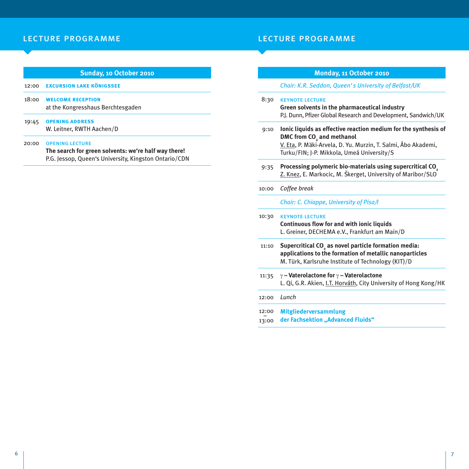## lecture programme lecture programme

|       | Sunday, 10 October 2010                                                                                                                 |       | <b>Monday, 11 October 2010</b>                                                                                                                                                    |
|-------|-----------------------------------------------------------------------------------------------------------------------------------------|-------|-----------------------------------------------------------------------------------------------------------------------------------------------------------------------------------|
| 12:00 | <b>EXCURSION LAKE KÖNIGSSEE</b>                                                                                                         |       | Chair: K.R. Seddon, Queen's University of Belfast/UK                                                                                                                              |
| 18:00 | <b>WELCOME RECEPTION</b><br>at the Kongresshaus Berchtesgaden                                                                           | 8:30  | <b>KEYNOTE LECTURE</b><br>Green solvents in the pharmaceutical industry                                                                                                           |
|       |                                                                                                                                         |       | P.J. Dunn, Pfizer Global Research and Development, Sandwich/UK                                                                                                                    |
| 19:45 | <b>OPENING ADDRESS</b><br>W. Leitner, RWTH Aachen/D                                                                                     | 9:10  | Ionic liquids as effective reaction medium for the synthesis of                                                                                                                   |
| 20:00 | <b>OPENING LECTURE</b><br>The search for green solvents: we're half way there!<br>P.G. Jessop, Queen's University, Kingston Ontario/CDN |       | DMC from CO <sub>2</sub> and methanol<br>V. Eta, P. Mäki-Arvela, D. Yu. Murzin, T. Salmi, Åbo Akademi,<br>Turku/FIN; J-P. Mikkola, Umeå University/S                              |
|       |                                                                                                                                         | 9:35  | Processing polymeric bio-materials using supercritical CO <sub>2</sub><br>Z. Knez, E. Markocic, M. Škerget, University of Maribor/SLO                                             |
|       |                                                                                                                                         | 10:00 | Coffee break                                                                                                                                                                      |
|       |                                                                                                                                         |       | Chair: C. Chiappe, University of Pisa/I                                                                                                                                           |
|       |                                                                                                                                         | 10:30 | <b>KEYNOTE LECTURE</b>                                                                                                                                                            |
|       |                                                                                                                                         |       | Continuous flow for and with ionic liquids<br>L. Greiner, DECHEMA e.V., Frankfurt am Main/D                                                                                       |
|       |                                                                                                                                         | 11:10 | Supercritical CO <sub>2</sub> as novel particle formation media:<br>applications to the formation of metallic nanoparticles<br>M. Türk, Karlsruhe Institute of Technology (KIT)/D |
|       |                                                                                                                                         | 11:35 | $\gamma$ – Vaterolactone for $\gamma$ – Vaterolactone<br>L. Qi, G.R. Akien, I.T. Horváth, City University of Hong Kong/HK                                                         |
|       |                                                                                                                                         | 12:00 | Lunch                                                                                                                                                                             |
|       |                                                                                                                                         | 12:00 | <b>Mitgliederversammlung</b>                                                                                                                                                      |
|       |                                                                                                                                         | 13:00 | der Fachsektion "Advanced Fluids"                                                                                                                                                 |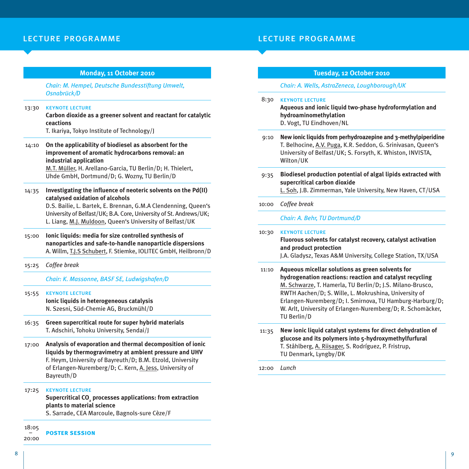## lecture programme lecture programme

#### **Monday, 11 October 2010**

*Chair: M. Hempel, Deutsche Bundesstiftung Umwelt, Osnabrück/D*

#### 13:30 keynote lecture

**Carbon dioxide as a greener solvent and reactant for catalytic ceactions**

T. Ikariya, Tokyo Institute of Technology/J

14:10 **On the applicability of biodiesel as absorbent for the improvement of aromatic hydrocarbons removal: an industrial application** M.T. Müller, H. Arellano-Garcia, TU Berlin/D; H. Thielert,

Uhde GmbH, Dortmund/D; G. Wozny, TU Berlin/D

14:35 **Investigating the influence of neoteric solvents on the Pd(II) catalysed oxidation of alcohols**

D.S. Bailie, L. Bartek, E. Brennan, G.M.A Clendenning, Queen's University of Belfast/UK; B.A. Core, University of St. Andrews/UK; L. Liang, M.J. Muldoon, Queen's University of Belfast/UK

- 15:00 **Ionic liquids: media for size controlled synthesis of nanoparticles and safe-to-handle nanoparticle dispersions** A. Willm, T.J.S Schubert, F. Stiemke, IOLITEC GmbH, Heilbronn/D
- 15:25 *Coffee break*

*Chair: K. Massonne, BASF SE, Ludwigshafen/D*

- 15:55 keynote lecture **Ionic liquids in heterogeneous catalysis** N. Szesni, Süd-Chemie AG, Bruckmühl/D
- 16:35 **Green supercritical route for super hybrid materials** T. Adschiri, Tohoku University, Sendai/J
- 17:00 **Analysis of evaporation and thermal decomposition of ionic liquids by thermogravimetry at ambient pressure and UHV** F. Heym, University of Bayreuth/D; B.M. Etzold, University of Erlangen-Nuremberg/D; C. Kern, A. Jess, University of Bayreuth/D

### 17:25 keynote lecture

**Supercritical CO2 processes applications: from extraction plants to material science** S. Sarrade, CEA Marcoule, Bagnols-sure Cèze/F

18:05 –

20:00 **poster session**

## *Chair: A. Wells, AstraZeneca, Loughborough/UK*

8:30 keynote lecture **Aqueous and ionic liquid two-phase hydroformylation and hydroaminomethylation** D. Vogt, TU Eindhoven/NL

**Tuesday, 12 October 2010**

- 9:10 **New ionic liquids from perhydroazepine and 3-methylpiperidine** T. Belhocine, A.V. Puga, K.R. Seddon, G. Srinivasan, Queen's University of Belfast/UK; S. Forsyth, K. Whiston, INVISTA, Wilton/UK
- 9:35 **Biodiesel production potential of algal lipids extracted with supercritical carbon dioxide**

L. Soh, J.B. Zimmerman, Yale University, New Haven, CT/USA

### 10:00 *Coffee break*

*Chair: A. Behr, TU Dortmund/D*

10:30 keynote lecture

**Fluorous solvents for catalyst recovery, catalyst activation and product protection**

J.A. Gladysz, Texas A&M University, College Station, TX/USA

- 11:10 **Aqueous micellar solutions as green solvents for hydrogenation reactions: reaction and catalyst recycling** M. Schwarze, T. Hamerla, TU Berlin/D; J.S. Milano-Brusco, RWTH Aachen/D; S. Wille, L. Mokrushina, University of Erlangen-Nuremberg/D; I. Smirnova, TU Hamburg-Harburg/D; W. Arlt, University of Erlangen-Nuremberg/D; R. Schomäcker, TU Berlin/D
- 11:35 **New ionic liquid catalyst systems for direct dehydration of glucose and its polymers into 5-hydroxymethylfurfural** T. Ståhlberg, A. Riisager, S. Rodríguez, P. Fristrup, TU Denmark, Lyngby/DK

12:00 *Lunch*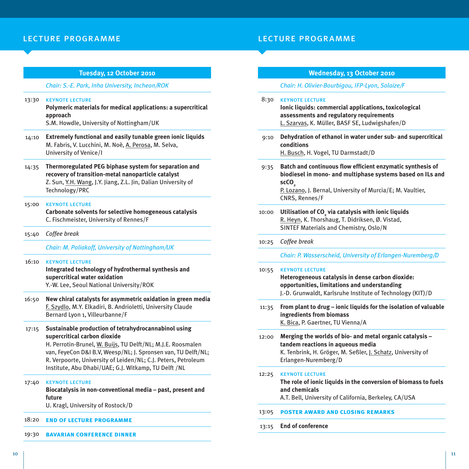#### **Tuesday, 12 October 2010**

#### *Chair: S.-E. Park, Inha University, Incheon/ROK*

#### 13:30 keynote lecture

**Polymeric materials for medical applications: a supercritical approach** S.M. Howdle, University of Nottingham/UK

- 14:10 **Extremely functional and easily tunable green ionic liquids**
	- M. Fabris, V. Lucchini, M. Noè, A. Perosa, M. Selva, University of Venice/I
- 14:35 **Thermoregulated PEG biphase system for separation and recovery of transition-metal nanoparticle catalyst** Z. Sun, Y.H. Wang, J.Y. Jiang, Z.L. Jin, Dalian University of Technology/PRC

#### 15:00 keynote lecture

**Carbonate solvents for selective homogeneous catalysis** C. Fischmeister, University of Rennes/F

15:40 *Coffee break*

#### *Chair: M. Poliakoff, University of Nottingham/UK*

#### 16:10 keynote lecture

**Integrated technology of hydrothermal synthesis and supercritical water oxidation** Y.-W. Lee, Seoul National University/ROK

- 16:50 **New chiral catalysts for asymmetric oxidation in green media** F. Szydlo, M.Y. Elkadiri, B. Andrioletti, University Claude Bernard Lyon 1, Villeurbanne/F
- 17:15 **Sustainable production of tetrahydrocannabinol using supercritical carbon dioxide**

H. Perrotin-Brunel, W. Buijs, TU Delft/NL; M.J.E. Roosmalen van, FeyeCon D&I B.V, Weesp/NL; J. Spronsen van, TU Delft/NL; R. Verpoorte, University of Leiden/NL; C.J. Peters, Petroleum Institute, Abu Dhabi/UAE; G.J. Witkamp, TU Delft /NL

#### 17:40 keynote lecture

**Biocatalysis in non-conventional media – past, present and future**

U. Kragl, University of Rostock/D

#### 18:20 **end of lecture programme**

19:30 **bavarian conference dinner**

### **Wednesday, 13 October 2010**

*Chair: H. Olivier-Bourbigou, IFP-Lyon, Solaize/F*

8:30 keynote lecture **Ionic liquids: commercial applications, toxicological assessments and regulatory requirements** L. Szarvas, K. Müller, BASF SE, Ludwigshafen/D 9:10 **Dehydration of ethanol in water under sub- and supercritical conditions** H. Busch, H. Vogel, TU Darmstadt/D

- 9:35 **Batch and continuous flow efficient enzymatic synthesis of biodiesel in mono- and multiphase systems based on ILs and scCO2** P. Lozano, J. Bernal, University of Murcia/E; M. Vaultier, CNRS, Rennes/F
- 10:00 Utilisation of CO<sub>2</sub> via catalysis with ionic liquids R. Heyn, K. Thorshaug, T. Didriksen, Ø. Vistad, SINTEF Materials and Chemistry, Oslo/N
- 10:25 *Coffee break*

*Chair: P. Wasserscheid, University of Erlangen-Nuremberg/D*

#### 10:55 keynote lecture

**Heterogeneous catalysis in dense carbon dioxide: opportunities, limitations and understanding** J.-D. Grunwaldt, Karlsruhe Institute of Technology (KIT)/D

11:35 **From plant to drug – ionic liquids for the isolation of valuable ingredients from biomass** K. Bica, P. Gaertner, TU Vienna/A

12:00 **Merging the worlds of bio- and metal organic catalysis – tandem reactions in aqueous media**

> K. Tenbrink, H. Gröger, M. Seßler, J. Schatz, University of Erlangen-Nuremberg/D

#### 12:25 keynote lecture

**The role of ionic liquids in the conversion of biomass to fuels and chemicals**

A.T. Bell, University of California, Berkeley, CA/USA

- 13:05 **poster award and closing remarks**
- 13:15 **End of conference**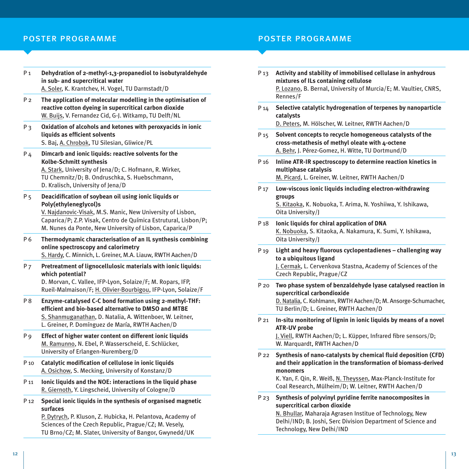## poster programme poster programme

- P 1 **Dehydration of 2-methyl-1,3-propanediol to isobutyraldehyde in sub- and supercritical water** A. Soler, K. Krantchev, H. Vogel, TU Darmstadt/D
- P 2 **The application of molecular modelling in the optimisation of reactive cotton dyeing in supercritical carbon dioxide** W. Buijs, V. Fernandez Cid, G-J. Witkamp, TU Delft/NL
- P 3 **Oxidation of alcohols and ketones with peroxyacids in ionic liquids as efficient solvents** S. Baj, A. Chrobok, TU Silesian, Gliwice/PL
- P 4 **Dimcarb and ionic liquids: reactive solvents for the Kolbe-Schmitt synthesis** A. Stark, University of Jena/D; C. Hofmann, R. Wirker, TU Chemnitz/D; B. Ondruschka, S. Huebschmann,

D. Kralisch, University of Jena/D

P 5 **Deacidification of soybean oil using ionic liquids or Poly(ethyleneglycol)s**

V. Najdanovic-Visak, M.S. Manic, New University of Lisbon, Caparica/P; Z.P. Visak, Centro de Química Estrutural, Lisbon/P; M. Nunes da Ponte, New University of Lisbon, Caparica/P

- P 6 **Thermodynamic characterisation of an IL synthesis combining online spectroscopy and calorimetry** S. Hardy, C. Minnich, L. Greiner, M.A. Liauw, RWTH Aachen/D
- P 7 **Pretreatment of lignocellulosic materials with ionic liquids: which potential?**

D. Morvan, C. Vallee, IFP-Lyon, Solaize/F; M. Ropars, IFP, Rueil-Malmaison/F; H. Olivier-Bourbigou, IFP-Lyon, Solaize/F

- P 8 **Enzyme-catalysed C-C bond formation using 2-methyl-THF: efficient and bio-based alternative to DMSO and MTBE** S. Shanmuganathan, D. Natalia, A. Wittenboer, W. Leitner, L. Greiner, P. Domínguez de María, RWTH Aachen/D
- P 9 **Effect of higher water content on different ionic liquids** M. Ramunno, N. Ebel, P. Wasserscheid, E. Schlücker, University of Erlangen-Nuremberg/D
- P 10 **Catalytic modification of cellulose in ionic liquids** A. Osichow, S. Mecking, University of Konstanz/D
- P 11 **Ionic liquids and the NOE: interactions in the liquid phase** R. Giernoth, Y. Lingscheid, University of Cologne/D
- P 12 **Special ionic liquids in the synthesis of organised magnetic surfaces**

P. Dytrych, P. Kluson, Z. Hubicka, H. Pelantova, Academy of Sciences of the Czech Republic, Prague/CZ; M. Vesely, TU Brno/CZ; M. Slater, University of Bangor, Gwynedd/UK

- P 13 **Activity and stability of immobilised cellulase in anhydrous mixtures of ILs containing cellulose** P. Lozano, B. Bernal, University of Murcia/E; M. Vaultier, CNRS, Rennes/F
- P 14 **Selective catalytic hydrogenation of terpenes by nanoparticle catalysts** D. Peters, M. Hölscher, W. Leitner, RWTH Aachen/D
- P 15 **Solvent concepts to recycle homogeneous catalysts of the cross-metathesis of methyl oleate with 4-octene** A. Behr, J. Pérez-Gomez, H. Witte, TU Dortmund/D
- P 16 **Inline ATR-IR spectroscopy to determine reaction kinetics in multiphase catalysis** M. Picard, L. Greiner, W. Leitner, RWTH Aachen/D
- P 17 **Low-viscous ionic liquids including electron-withdrawing groups** S. Kitaoka, K. Nobuoka, T. Arima, N. Yoshiiwa, Y. Ishikawa, Oita University/J
- P 18 **Ionic liquids for chiral application of DNA** K. Nobuoka, S. Kitaoka, A. Nakamura, K. Sumi, Y. Ishikawa, Oita University/J
- P 19 **Light and heavy fluorous cyclopentadienes challenging way to a ubiquitous ligand** J. Cermak, L. Cervenkova Stastna, Academy of Sciences of the Czech Republic, Prague/CZ
- P 20 **Two phase system of benzaldehyde lyase catalysed reaction in supercritical carbondioxide**

D. Natalia, C. Kohlmann, RWTH Aachen/D; M. Ansorge-Schumacher, TU Berlin/D; L. Greiner, RWTH Aachen/D

P 21 **In-situ monitoring of lignin in ionic liquids by means of a novel ATR-UV probe**

J. Viell, RWTH Aachen/D; L. Küpper, Infrared fibre sensors/D; W. Marquardt, RWTH Aachen/D

P 22 **Synthesis of nano-catalysts by chemical fluid deposition (CFD) and their application in the transformation of biomass-derived monomers**

K. Yan, F. Qin, R. Weiß, N. Theyssen, Max-Planck-Institute for Coal Research, Mülheim/D; W. Leitner, RWTH Aachen/D

P 23 **Synthesis of polyvinyl pyridine ferrite nanocomposites in supercritical carbon dioxide**

> N. Bhullar, Maharaja Agrasen Institue of Technology, New Delhi/IND; B. Joshi, Serc Division Department of Science and Technology, New Delhi/IND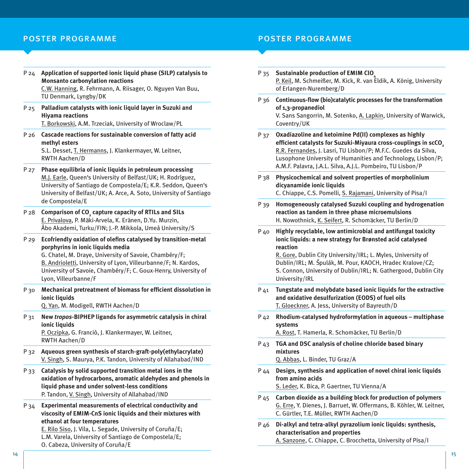## poster programme poster programme

P 24 **Application of supported ionic liquid phase (SILP) catalysis to Monsanto carbonylation reactions** C.W. Hanning, R. Fehrmann, A. Riisager, O. Nguyen Van Buu,

TU Denmark, Lyngby/DK

P 25 **Palladium catalysts with ionic liquid layer in Suzuki and Hiyama reactions** T. Borkowski, A.M. Trzeciak, University of Wroclaw/PL

P 26 **Cascade reactions for sustainable conversion of fatty acid methyl esters** S.L. Desset, T. Hermanns, J. Klankermayer, W. Leitner,

RWTH Aachen/D

- P 27 **Phase equilibria of ionic liquids in petroleum processing** M.J. Earle, Queen's University of Belfast/UK; H. Rodríguez, University of Santiago de Compostela/E; K.R. Seddon, Queen's University of Belfast/UK; A. Arce, A. Soto, University of Santiago de Compostela/E
- P 28 **Comparison of CO2 capture capacity of RTILs and SILs** E. Privalova, P. Mäki-Arvela, K. Eränen, D.Yu. Murzin, Åbo Akademi, Turku/FIN; J.-P. Mikkola, Umeå University/S
- P 29 **Ecofriendly oxidation of olefins catalysed by transition-metal porphyrins in ionic liquids media** G. Chatel, M. Draye, University of Savoie, Chambéry/F;

B. Andrioletti, University of Lyon, Villeurbanne/F; N. Kardos, University of Savoie, Chambéry/F; C. Goux-Henry, University of Lyon, Villeurbanne/F

- P 30 **Mechanical pretreatment of biomass for efficient dissolution in ionic liquids** Q. Yan, M. Modigell, RWTH Aachen/D
- P 31 **New** *tropos***-BIPHEP ligands for asymmetric catalysis in chiral ionic liquids**

P. Oczipka, G. Franciò, J. Klankermayer, W. Leitner, RWTH Aachen/D

- P 32 **Aqueous green synthesis of starch-graft-poly(ethylacrylate)** V. Singh, S. Maurya, P.K. Tandon, University of Allahabad/IND
- P 33 **Catalysis by solid supported transition metal ions in the oxidation of hydrocarbons, aromatic aldehydes and phenols in liquid phase and under solvent-less conditions** P. Tandon, V. Singh, University of Allahabad/IND
- P 34 **Experimental measurements of electrical conductivity and viscosity of EMIM-CnS ionic liquids and their mixtures with ethanol at four temperatures**

E. Rilo Siso, J. Vila, L. Segade, University of Coruña/E; L.M. Varela, University of Santiago de Compostela/E; O. Cabeza, University of Coruña/E

- P 35 **Sustainable production of EMIM ClO4** P. Keil, M. Schmeißer, M. Kick, R. van Eldik, A. König, University of Erlangen-Nuremberg/D
- P 36 **Continuous-flow (bio)catalytic processes for the transformation of 1,3-propanediol** V. Sans Sangorrin, M. Sotenko, A. Lapkin, University of Warwick, Coventry/UK
- P 37 **Oxadiazoline and ketoimine Pd(II) complexes as highly efficient catalysts for Suzuki-Miyaura cross-couplings in scCO2** R.R. Fernandes, J. Lasri, TU Lisbon/P; M.F.C. Guedes da Silva, Lusophone University of Humanities and Technology, Lisbon/P; A.M.F. Palavra, J.A.L. Silva, A.J.L. Pombeiro, TU Lisbon/P
- P 38 **Physicochemical and solvent properties of morpholinium dicyanamide ionic liquids** C. Chiappe, C.S. Pomelli, S. Rajamani, University of Pisa/I
- P 39 **Homogeneously catalysed Suzuki coupling and hydrogenation reaction as tandem in three phase microemulsions** H. Nowothnick, K. Seifert, R. Schomäcker, TU Berlin/D
- P 40 **Highly recyclable, low antimicrobial and antifungal toxicity ionic liquids: a new strategy for Brønsted acid catalysed reaction**

R. Gore, Dublin City University/IRL; L. Myles, University of Dublin/IRL; M. Š pulák, M. Pour, KAOCH, Hradec Kralove/CZ; S. Connon, University of Dublin/IRL; N. Gathergood, Dublin City University/IRL

- P 41 **Tungstate and molybdate based ionic liquids for the extractive and oxidative desulfurization (EODS) of fuel oils** T. Gloeckner, A. Jess, University of Bayreuth/D
- P 42 **Rhodium-catalysed hydroformylation in aqueous multiphase systems**

A. Rost, T. Hamerla, R. Schomäcker, TU Berlin/D

P 43 **TGA and DSC analysis of choline chloride based binary mixtures**

Q. Abbas, L. Binder, TU Graz/A

- P 44 **Design, synthesis and application of novel chiral ionic liquids from amino acids** S. Leder, K. Bica, P. Gaertner, TU Vienna/A
- P 45 **Carbon dioxide as a building block for production of polymers** G. Erre, Y. Dienes, J. Barruet, W. Offermans, B. Köhler, W. Leitner, C. Gürtler, T.E. Müller, RWTH Aachen/D
- P 46 **Di-alkyl and tetra-alkyl pyrazolium ionic liquids: synthesis, characterisation and properties** A. Sanzone, C. Chiappe, C. Brocchetta, University of Pisa/I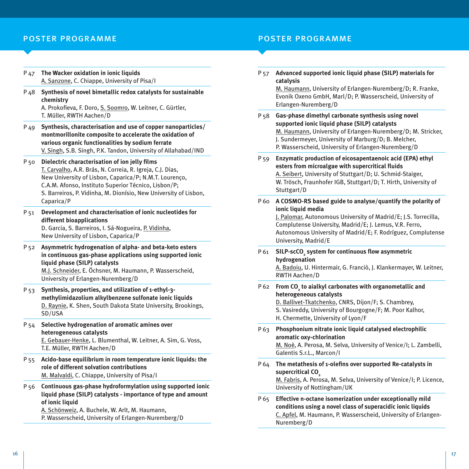## poster programme poster programme

- P 47 **The Wacker oxidation in ionic liquids** A. Sanzone, C. Chiappe, University of Pisa/I
- P 48 **Synthesis of novel bimetallic redox catalysts for sustainable chemistry** A. Prokofieva, F. Doro, S. Soomro, W. Leitner, C. Gürtler,

T. Müller, RWTH Aachen/D

- P 49 **Synthesis, characterisation and use of copper nanoparticles/ montmorillonite composite to accelerate the oxidation of various organic functionalities by sodium ferrate** V. Singh, S.B. Singh, P.K. Tandon, University of Allahabad/IND
- P 50 **Dielectric characterisation of ion jelly films** T. Carvalho, A.R. Brás, N. Correia, R. Igreja, C.J. Dias, New University of Lisbon, Caparica/P; N.M.T. Lourenço, C.A.M. Afonso, Instituto Superior Técnico, Lisbon/P; S. Barreiros, P. Vidinha, M. Dionísio, New University of Lisbon, Caparica/P
- P 51 **Development and characterisation of ionic nucleotides for different bioapplications** D. Garcia, S. Barreiros, I. Sá-Nogueira, P. Vidinha, New University of Lisbon, Caparica/P
- P 52 **Asymmetric hydrogenation of alpha- and beta-keto esters in continuous gas-phase applications using supported ionic liquid phase (SILP) catalysts** M.J. Schneider, E. Öchsner, M. Haumann, P. Wasserscheid, University of Erlangen-Nuremberg/D
- P 53 **Synthesis, properties, and utilization of 1-ethyl-3 methylimidazolium alkylbenzene sulfonate ionic liquids** D. Raynie, K. Shen, South Dakota State University, Brookings, SD/USA
- P 54 **Selective hydrogenation of aromatic amines over heterogeneous catalysts** E. Gebauer-Henke, L. Blumenthal, W. Leitner, A. Sim, G. Voss, T.E. Müller, RWTH Aachen/D
- P 55 **Acido-base equilibrium in room temperature ionic liquids: the role of different solvation contributions** M. Malvaldi, C. Chiappe, University of Pisa/I
- P 56 **Continuous gas-phase hydroformylation using supported ionic liquid phase (SILP) catalysts - importance of type and amount of ionic liquid**

A. Schönweiz, A. Buchele, W. Arlt, M. Haumann,

P. Wasserscheid, University of Erlangen-Nuremberg/D

P 57 **Advanced supported ionic liquid phase (SILP) materials for catalysis**

> M. Haumann, University of Erlangen-Nuremberg/D; R. Franke, Evonik Oxeno GmbH, Marl/D; P. Wasserscheid, University of Erlangen-Nuremberg/D

- P 58 **Gas-phase dimethyl carbonate synthesis using novel supported ionic liquid phase (SILP) catalysts** M. Haumann, University of Erlangen-Nuremberg/D; M. Stricker, J. Sundermeyer, University of Marburg/D; B. Melcher, P. Wasserscheid, University of Erlangen-Nuremberg/D
- P 59 **Enzymatic production of eicosapentaenoic acid (EPA) ethyl esters from microalgae with supercritical fluids** A. Seibert, University of Stuttgart/D; U. Schmid-Staiger, W. Trösch, Fraunhofer IGB, Stuttgart/D; T. Hirth, University of Stuttgart/D
- P 60 **A COSMO-RS based guide to analyse/quantify the polarity of ionic liquid media**

J. Palomar, Autonomous University of Madrid/E; J.S. Torrecilla, Complutense University, Madrid/E; J. Lemus, V.R. Ferro, Autonomous University of Madrid/E; F. Rodríguez, Complutense University, Madrid/E

P 61 **SILP-scCO<sub>2</sub> system for continuous flow asymmetric hydrogenation** A. Badoiu, U. Hintermair, G. Franciò, J. Klankermayer, W. Leitner,

RWTH Aachen/D

P 62 **From CO<sub>2</sub> to aialkyl carbonates with organometallic and heterogeneous catalysts**

D. Ballivet-Tkatchenko, CNRS, Dijon/F; S. Chambrey, S. Vasireddy, University of Bourgogne/F; M. Poor Kalhor, H. Chermette, University of Lyon/F

P 63 **Phosphonium nitrate ionic liquid catalysed electrophilic aromatic oxy-chlorination**

M. Noè, A. Perosa, M. Selva, University of Venice/I; L. Zambelli, Galentis S.r.L., Marcon/I

P 64 **The metathesis of 1-olefins over supported Re-catalysts in**  supercritical CO<sub>2</sub>

M. Fabris, A. Perosa, M. Selva, University of Venice/I; P. Licence, University of Nottingham/UK

P 65 **Effective n-octane isomerization under exceptionally mild conditions using a novel class of superacidic ionic liquids** C. Apfel, M. Haumann, P. Wasserscheid, University of Erlangen-Nuremberg/D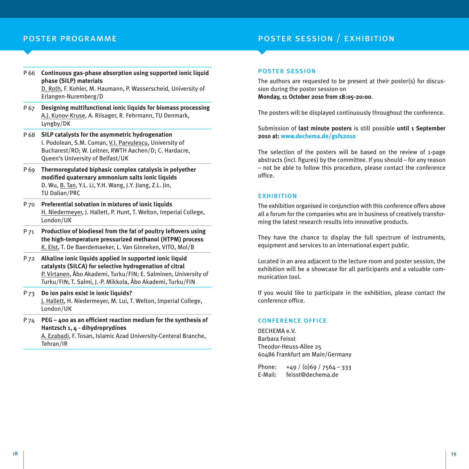Erlangen-Nuremberg/D

## poster programme poster session / exhibition

P 66 **Continuous gas-phase absorption using supported ionic liquid phase (SILP) materials** D. Roth, F. Kohler, M. Haumann, P. Wasserscheid, University of

P 67 **Designing multifunctional ionic liquids for biomass processing** A.J. Kunov-Kruse, A. Riisager, R. Fehrmann, TU Denmark, Lyngby/DK

- P 68 **SILP catalysts for the asymmetric hydrogenation** I. Podolean, S.M. Coman, V.I. Parvulescu, University of Bucharest/RO; W. Leitner, RWTH Aachen/D; C. Hardacre, Queen's University of Belfast/UK
- P 69 **Thermoregulated biphasic complex catalysis in polyether modified quaternary ammonium salts ionic liquids** D. Wu, B. Tan, Y.L. Li, Y.H. Wang, J.Y. Jiang, Z.L. Jin, TU Dalian/PRC
- P 70 **Preferential solvation in mixtures of ionic liquids** H. Niedermeyer, J. Hallett, P. Hunt, T. Welton, Imperial College, London/UK
- P 71 **Production of biodiesel from the fat of poultry leftovers using the high-temperature pressurized methanol (HTPM) process** K. Elst, T. De Baerdemaeker, L. Van Ginneken, VITO, Mol/B
- P 72 **Alkaline ionic liquids applied in supported ionic liquid catalysts (SILCA) for selective hydrogenation of citral** P. Virtanen, Åbo Akademi, Turku/FIN; E. Salminen, University of Turku/FIN; T. Salmi, J.-P. Mikkola, Åbo Akademi, Turku/FIN
- P 73 **Do ion pairs exist in ionic liquids?** J. Hallett, H. Niedermeyer, M. Lui, T. Welton, Imperial College, London/UK

P 74 **PEG – 400 as an efficient reaction medium for the synthesis of Hantzsch 1, 4 - dihydroprydines** A. Ezabadi, F. Tosan, Islamic Azad University-Centeral Branche, Tehran/IR

#### poster session

The authors are requested to be present at their poster(s) for discussion during the poster session on **Monday, 11 October 2010 from 18:05-20:00**.

The posters will be displayed continuously throughout the conference.

Submission of **last minute posters** is still possible **until 1 September 2010 at: www.dechema.de/gsfs2010**

The selection of the posters will be based on the review of 1-page abstracts (incl. figures) by the committee. If you should – for any reason – not be able to follow this procedure, please contact the conference office.

### **EXHIBITION**

The exhibition organised in conjunction with this conference offers above all a forum for the companies who are in business of creatively transforming the latest research results into innovative products.

They have the chance to display the full spectrum of instruments, equipment and services to an international expert public.

Located in an area adjacent to the lecture room and poster session, the exhibition will be a showcase for all participants and a valuable communication tool.

If you would like to participate in the exhibition, please contact the conference office.

### conference office

DECHEMA e.V. Barbara Feisst Theodor-Heuss-Allee 25 60486 Frankfurt am Main/Germany

Phone:  $+49 / (0)69 / 7564 - 333$ E-Mail: feisst@dechema.de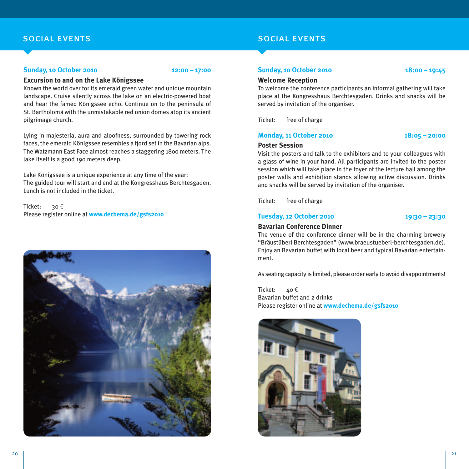## social events

### **Sunday, 10 October 2010** 12:00 - 17:00

#### **Excursion to and on the Lake Königssee**

Known the world over for its emerald green water and unique mountain landscape. Cruise silently across the lake on an electric-powered boat and hear the famed Königssee echo. Continue on to the peninsula of St. Bartholomä with the unmistakable red onion domes atop its ancient pilgrimage church.

Lying in majesterial aura and aloofness, surrounded by towering rock faces, the emerald Königssee resembles a fjord set in the Bavarian alps. The Watzmann East Face almost reaches a staggering 1800 meters. The lake itself is a good 190 meters deep.

Lake Königssee is a unique experience at any time of the year: The guided tour will start and end at the Kongresshaus Berchtesgaden. Lunch is not included in the ticket.

Ticket: 30 € Please register online at **www.dechema.de/gsfs2010**



## social events

### **Sunday, 10 October 2010 18:00 – 19:45**

### **Welcome Reception**

To welcome the conference participants an informal gathering will take place at the Kongresshaus Berchtesgaden. Drinks and snacks will be served by invitation of the organiser.

Ticket: free of charge

### **Monday, 11 October 2010 18:05 – 20:00**

### **Poster Session**

Visit the posters and talk to the exhibitors and to your colleagues with a glass of wine in your hand. All participants are invited to the poster session which will take place in the foyer of the lecture hall among the poster walls and exhibition stands allowing active discussion. Drinks and snacks will be served by invitation of the organiser.

Ticket: free of charge

### **Tuesday, 12 October 2010 19:30 – 23:30**

### **Bavarian Conference Dinner**

The venue of the conference dinner will be in the charming brewery "Bräustüberl Berchtesgaden" (www.braeustueberl-berchtesgaden.de). Enjoy an Bavarian buffet with local beer and typical Bavarian entertainment.

As seating capacity is limited, please order early to avoid disappointments!

Ticket:  $40 \text{ } \in$ Bavarian buffet and 2 drinks Please register online at **www.dechema.de/gsfs2010**

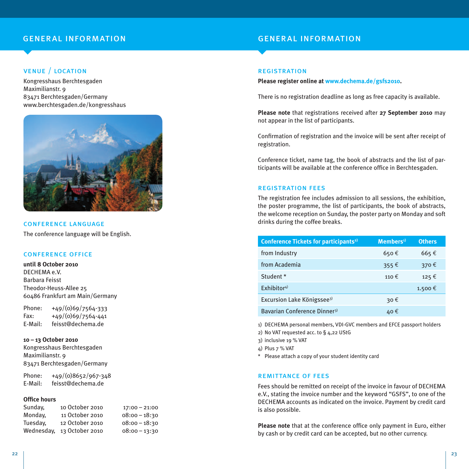## general information general information

## venue / location

Kongresshaus Berchtesgaden Maximilianstr. 9 83471 Berchtesgaden/Germany www.berchtesgaden.de/kongresshaus



conference language The conference language will be English.

#### conference office

**until 8 October 2010** DECHEMA e.V. Barbara Feisst Theodor-Heuss-Allee 25 60486 Frankfurt am Main/Germany

Phone: +49/(0)69/7564-333  $Fax: +49/(0)69/7564-441$ E-Mail: feisst@dechema.de

**10 – 13 October 2010** Kongresshaus Berchtesgaden Maximilianstr. 9 83471 Berchtesgaden/Germany

Phone: +49/(0)8652/967-348 E-Mail: feisst@dechema.de

#### **Office hours**

| Sunday,    | 10 October 2010 | $17:00 - 21:00$ |
|------------|-----------------|-----------------|
| Monday,    | 11 October 2010 | $08:00 - 18:30$ |
| Tuesday,   | 12 October 2010 | $08:00 - 18:30$ |
| Wednesdav. | 13 October 2010 | $08:00 - 13:30$ |

#### **REGISTRATION**

**Please register online at www.dechema.de/gsfs2010.**

There is no registration deadline as long as free capacity is available.

**Please note** that registrations received after **27 September 2010** may not appear in the list of participants.

Confirmation of registration and the invoice will be sent after receipt of registration.

Conference ticket, name tag, the book of abstracts and the list of participants will be available at the conference office in Berchtesgaden.

#### registration fees

The registration fee includes admission to all sessions, the exhibition, the poster programme, the list of participants, the book of abstracts, the welcome reception on Sunday, the poster party on Monday and soft drinks during the coffee breaks.

| Conference Tickets for participants <sup>2)</sup> | $M$ embers <sup>1)</sup> | <b>Others</b> |
|---------------------------------------------------|--------------------------|---------------|
| from Industry                                     | $650 \text{ } \in$       | 665€          |
| from Academia                                     | 355€                     | 370€          |
| Student *                                         | 110€                     | 125€          |
| Exhibitor <sup>4)</sup>                           |                          | 1.500€        |
| Excursion Lake Königssee <sup>3)</sup>            | 30€                      |               |
| Bavarian Conference Dinner <sup>3)</sup>          | 40€                      |               |

1) DECHEMA personal members, VDI-GVC members and EFCE passport holders

2) No VAT requested acc. to § 4,22 UStG

3) inclusive 19 % VAT

4) Plus 7 % VAT

\* Please attach a copy of your student identity card

#### remittance of fees

Fees should be remitted on receipt of the invoice in favour of DECHEMA e.V., stating the invoice number and the keyword "GSFS", to one of the DECHEMA accounts as indicated on the invoice. Payment by credit card is also possible.

**Please note** that at the conference office only payment in Euro, either by cash or by credit card can be accepted, but no other currency.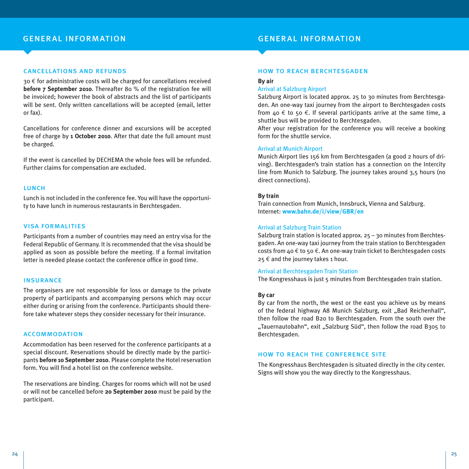## general information general information

### cancellations and refunds

30 € for administrative costs will be charged for cancellations received **before 7 September 2010**. Thereafter 80 % of the registration fee will be invoiced; however the book of abstracts and the list of participants will be sent. Only written cancellations will be accepted (email, letter or fax).

Cancellations for conference dinner and excursions will be accepted free of charge by **1 October 2010**. After that date the full amount must be charged.

If the event is cancelled by DECHEMA the whole fees will be refunded. Further claims for compensation are excluded.

#### lunch

Lunch is not included in the conference fee. You will have the opportunity to have lunch in numerous restaurants in Berchtesgaden.

#### visa formalities

Participants from a number of countries may need an entry visa for the Federal Republic of Germany. It is recommended that the visa should be applied as soon as possible before the meeting. If a formal invitation letter is needed please contact the conference office in good time.

#### insurance

The organisers are not responsible for loss or damage to the private property of participants and accompanying persons which may occur either during or arising from the conference. Participants should therefore take whatever steps they consider necessary for their insurance.

#### accommodation

Accommodation has been reserved for the conference participants at a special discount. Reservations should be directly made by the participants **before 10 September 2010**. Please complete the Hotel reservation form. You will find a hotel list on the conference website.

The reservations are binding. Charges for rooms which will not be used or will not be cancelled before **20 September 2010** must be paid by the participant.

#### how to reach berchtesgaden

#### **By air**

### Arrival at Salzburg Airport

Salzburg Airport is located approx. 25 to 30 minutes from Berchtesgaden. An one-way taxi journey from the airport to Berchtesgaden costs from  $40 \text{ } \in$  to 50  $\in$ . If several participants arrive at the same time, a shuttle bus will be provided to Berchtesgaden.

After your registration for the conference you will receive a booking form for the shuttle service.

#### Arrival at Munich Airport

Munich Airport lies 156 km from Berchtesgaden (a good 2 hours of driving). Berchtesgaden's train station has a connection on the Intercity line from Munich to Salzburg. The journey takes around 3,5 hours (no direct connections).

#### **By train**

Train connection from Munich, Innsbruck, Vienna and Salzburg. Internet: **www.bahn.de/i/view/GBR/en**

#### Arrival at Salzburg Train Station

Salzburg train station is located approx. 25 – 30 minutes from Berchtesgaden. An one-way taxi journey from the train station to Berchtesgaden costs from 40  $\epsilon$  to 50  $\epsilon$ . An one-way train ticket to Berchtesgaden costs  $25 \notin$  and the journey takes 1 hour.

#### Arrival at Berchtesgaden Train Station

The Kongresshaus is just 5 minutes from Berchtesgaden train station.

#### **By car**

By car from the north, the west or the east you achieve us by means of the federal highway A8 Munich Salzburg, exit "Bad Reichenhall", then follow the road B20 to Berchtesgaden. From the south over the "Tauernautobahn", exit "Salzburg Süd", then follow the road B305 to Berchtesgaden.

#### how to reach the conference site

The Kongresshaus Berchtesgaden is situated directly in the city center. Signs will show you the way directly to the Kongresshaus.